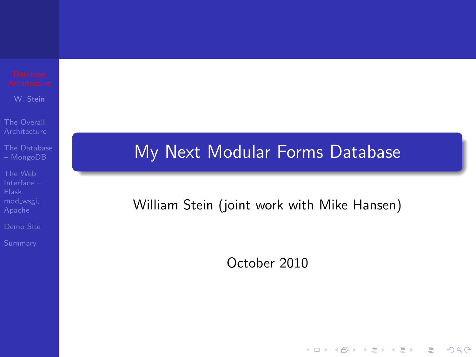W. Stein

The Overall

[The Database](#page-7-0)

The Web

<span id="page-0-0"></span>

## My Next Modular Forms Database

## William Stein (joint work with Mike Hansen)

October 2010

**KORK STRATER STRAKER**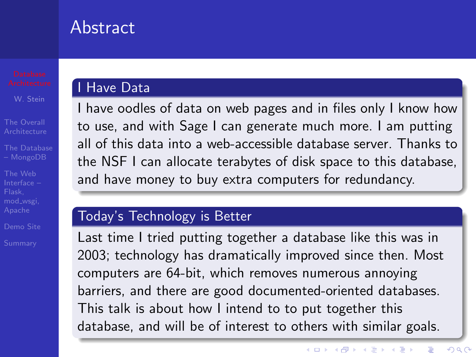## Abstract

The Web mod wsgi,

### I Have Data

I have oodles of data on web pages and in files only I know how to use, and with Sage I can generate much more. I am putting all of this data into a web-accessible database server. Thanks to the NSF I can allocate terabytes of disk space to this database, and have money to buy extra computers for redundancy.

#### Today's Technology is Better

Last time I tried putting together a database like this was in 2003; technology has dramatically improved since then. Most computers are 64-bit, which removes numerous annoying barriers, and there are good documented-oriented databases. This talk is about how I intend to to put together this database, and will be of interest to others with similar goals.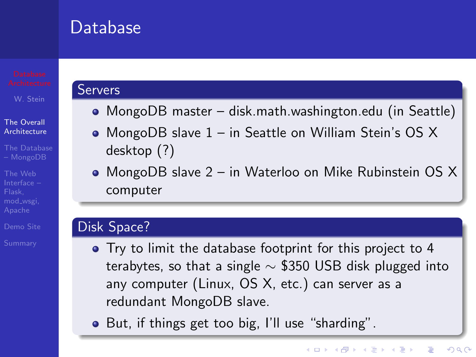## Database

W. Stein

#### The Overall **[Architecture](#page-2-0)**

- [The Database](#page-7-0)
- The Web mod wsgi,
- 
- 

#### Servers

- MongoDB master disk.math.washington.edu (in Seattle)
- MongoDB slave 1 in Seattle on William Stein's OS X desktop (?)
- MongoDB slave 2 in Waterloo on Mike Rubinstein OS X computer

#### Disk Space?

- Try to limit the database footprint for this project to 4 terabytes, so that a single  $\sim$  \$350 USB disk plugged into any computer (Linux, OS X, etc.) can server as a redundant MongoDB slave.
- <span id="page-2-0"></span>• But, if things get too big, I'll use "sharding".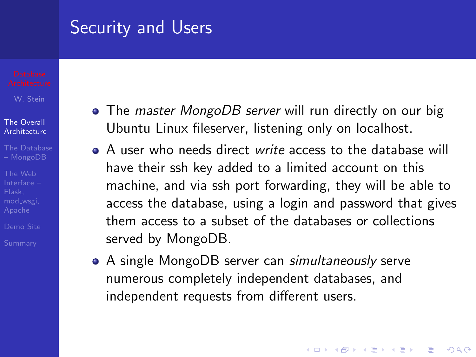## Security and Users

#### The Overall **[Architecture](#page-2-0)**

- 
- The Web mod wsgi,
- 

- The *master MongoDB server* will run directly on our big Ubuntu Linux fileserver, listening only on localhost.
- A user who needs direct write access to the database will have their ssh key added to a limited account on this machine, and via ssh port forwarding, they will be able to access the database, using a login and password that gives them access to a subset of the databases or collections served by MongoDB.
- A single MongoDB server can simultaneously serve numerous completely independent databases, and independent requests from different users.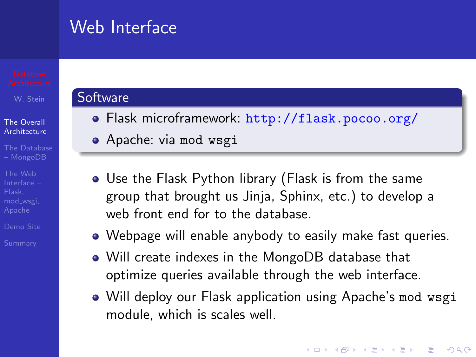## Web Interface

#### The Overall **[Architecture](#page-2-0)**

The Web mod wsgi,

#### **Software**

- Flask microframework: <http://flask.pocoo.org/>
- **•** Apache: via mod\_wsgi
- Use the Flask Python library (Flask is from the same group that brought us Jinja, Sphinx, etc.) to develop a web front end for to the database.
- Webpage will enable anybody to easily make fast queries.
- Will create indexes in the MongoDB database that optimize queries available through the web interface.
- Will deploy our Flask application using Apache's mod\_wsgi module, which is scales well.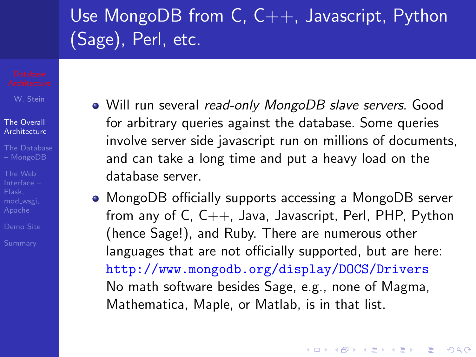# Use MongoDB from C, C++, Javascript, Python (Sage), Perl, etc.

W. Stein

- The Overall **[Architecture](#page-2-0)**
- [The Database](#page-7-0)
- The Web mod wsgi,
- 

- Will run several read-only MongoDB slave servers. Good for arbitrary queries against the database. Some queries involve server side javascript run on millions of documents, and can take a long time and put a heavy load on the database server.
- MongoDB officially supports accessing a MongoDB server from any of  $C, C++, Java, Javascript, Perl, PHP, Python$ (hence Sage!), and Ruby. There are numerous other languages that are not officially supported, but are here: <http://www.mongodb.org/display/DOCS/Drivers> No math software besides Sage, e.g., none of Magma, Mathematica, Maple, or Matlab, is in that list.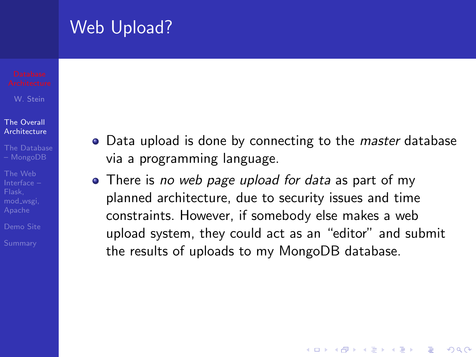## Web Upload?

W. Stein

#### The Overall **[Architecture](#page-2-0)**

- [The Database](#page-7-0)
- The Web mod wsgi,
- 

- Data upload is done by connecting to the *master* database via a programming language.
- There is no web page upload for data as part of my planned architecture, due to security issues and time constraints. However, if somebody else makes a web upload system, they could act as an "editor" and submit the results of uploads to my MongoDB database.

**KORK ERKER ADAM ADA**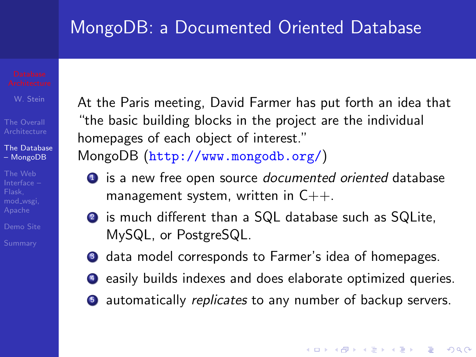## MongoDB: a Documented Oriented Database

W. Stein

The Overall

[The Database](#page-7-0) – MongoDB

The Web mod wsgi,

<span id="page-7-0"></span>

At the Paris meeting, David Farmer has put forth an idea that "the basic building blocks in the project are the individual homepages of each object of interest."

MongoDB (<http://www.mongodb.org/>)

- **1** is a new free open source documented oriented database management system, written in  $C_{++}$ .
- <sup>2</sup> is much different than a SQL database such as SQLite, MySQL, or PostgreSQL.
- **3** data model corresponds to Farmer's idea of homepages.
- <sup>4</sup> easily builds indexes and does elaborate optimized queries.
- **•** automatically *replicates* to any number of backup servers.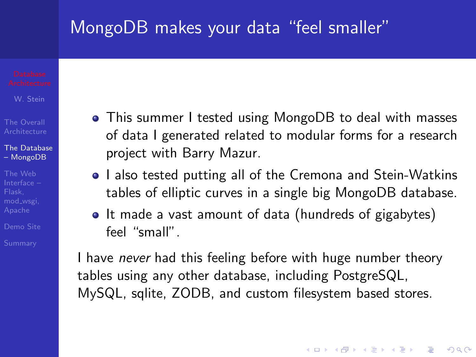## MongoDB makes your data "feel smaller"

W. Stein

[The Database](#page-7-0) – MongoDB

The Web

- This summer I tested using MongoDB to deal with masses of data I generated related to modular forms for a research project with Barry Mazur.
- I also tested putting all of the Cremona and Stein-Watkins tables of elliptic curves in a single big MongoDB database.
- It made a vast amount of data (hundreds of gigabytes) feel "small".

I have *never* had this feeling before with huge number theory tables using any other database, including PostgreSQL, MySQL, sqlite, ZODB, and custom filesystem based stores.

**KORK ERKER ADAM ADA**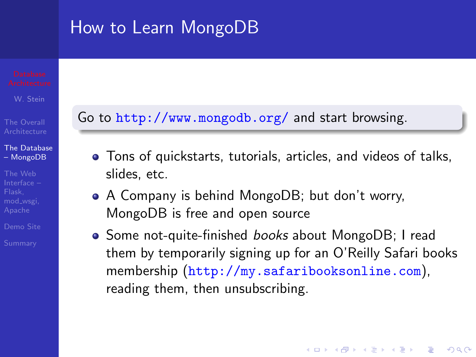## How to Learn MongoDB

W. Stein

[The Database](#page-7-0) – MongoDB

The Web mod wsgi,

## Go to <http://www.mongodb.org/> and start browsing.

- Tons of quickstarts, tutorials, articles, and videos of talks, slides, etc.
- A Company is behind MongoDB; but don't worry, MongoDB is free and open source
- Some not-quite-finished *books* about MongoDB; I read them by temporarily signing up for an O'Reilly Safari books membership (<http://my.safaribooksonline.com>), reading them, then unsubscribing.

**KORK ERKER ADAM ADA**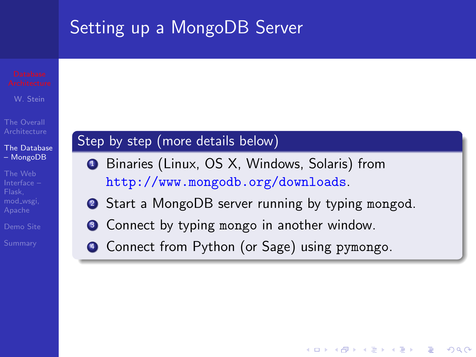# Setting up a MongoDB Server

W. Stein

#### [The Database](#page-7-0) – MongoDB

The Web mod wsgi,

## Step by step (more details below)

- <sup>1</sup> Binaries (Linux, OS X, Windows, Solaris) from <http://www.mongodb.org/downloads>.
- 2 Start a MongoDB server running by typing mongod.

**KORK ERKER ADE YOUR** 

- **3** Connect by typing mongo in another window.
- <sup>4</sup> Connect from Python (or Sage) using pymongo.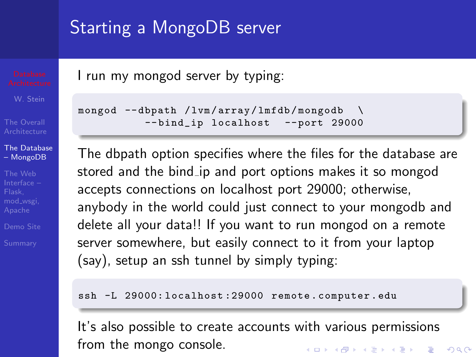## Starting a MongoDB server

[The Database](#page-7-0) – MongoDB

The Web mod wsgi,

I run my mongod server by typing:

```
mongod --dbpath / lvm / array / lmfdb / mongodb \
           -- bind_ip localhost -- port 29000
```
The dbpath option specifies where the files for the database are stored and the bind ip and port options makes it so mongod accepts connections on localhost port 29000; otherwise, anybody in the world could just connect to your mongodb and delete all your data!! If you want to run mongod on a remote server somewhere, but easily connect to it from your laptop (say), setup an ssh tunnel by simply typing:

ssh -L 29000: localhost: 29000 remote. computer. edu

It's also possible to create accounts with various permissions from the mongo console.**KORK STRATER STRAKER**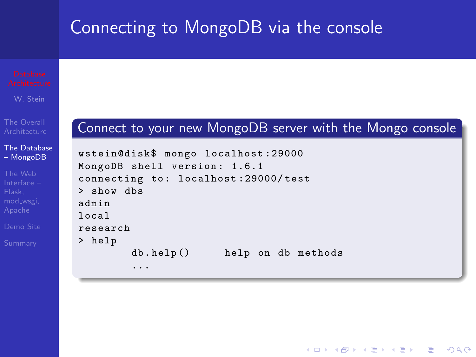## Connecting to MongoDB via the console

W. Stein

The Overall

[The Database](#page-7-0) – MongoDB

The Web mod wsgi,

### Connect to your new MongoDB server with the Mongo console

**KOD KARD KED KED E YORA** 

|                                     | wstein@disk\$ mongo localhost:29000 |  |  |                    |
|-------------------------------------|-------------------------------------|--|--|--------------------|
| MongoDB shell version: 1.6.1        |                                     |  |  |                    |
| connecting to: localhost:29000/test |                                     |  |  |                    |
| > show dbs                          |                                     |  |  |                    |
| admin                               |                                     |  |  |                    |
| 10ca1                               |                                     |  |  |                    |
| research                            |                                     |  |  |                    |
| > help                              |                                     |  |  |                    |
|                                     | db. help()                          |  |  | help on db methods |
|                                     |                                     |  |  |                    |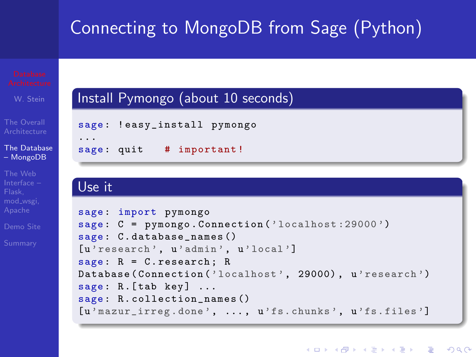# Connecting to MongoDB from Sage (Python)



### Use it

mod wsgi,

```
sage : import pymongo
sage: C = pymongo. Connection ('localhost: 29000')
sage : C. database_names ()
[u'research', u'admin', u'local']
sage: R = C. research; RDatabase (Connection ('localhost', 29000), u'research')
sage: R.[tab key] ...sage : R. collection_names ()
[u' mazur_irreg . done ', ... , u'fs. chunks ', u'fs. files ']
```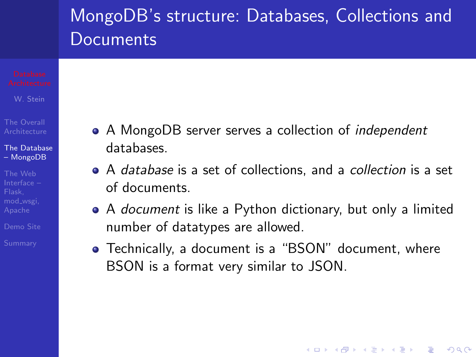# MongoDB's structure: Databases, Collections and **Documents**

W. Stein

[The Database](#page-7-0) – MongoDB

The Web

- A MongoDB server serves a collection of *independent* databases.
- A database is a set of collections, and a *collection* is a set of documents.
- A *document* is like a Python dictionary, but only a limited number of datatypes are allowed.
- Technically, a document is a "BSON" document, where BSON is a format very similar to JSON.

**KORK STRATER STRAKER**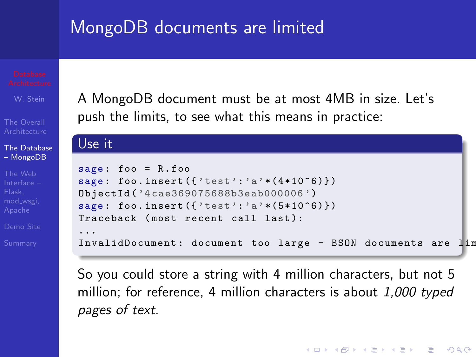## MongoDB documents are limited

[The Database](#page-7-0) – MongoDB

The Web mod wsgi,

A MongoDB document must be at most 4MB in size. Let's push the limits, to see what this means in practice:

#### Use it sage : foo = R. foo sage: foo.insert $({'$ test':'a'\* $(4*10^6)$ }) ObjectId ('4 cae369075688b3eab000006 ') sage: foo.insert $({'$ test':'a'\* $(5*10^{\circ}6)\})$ Traceback (most recent call last): ... InvalidDocument: document too large - BSON documents are lim

So you could store a string with 4 million characters, but not 5 million; for reference, 4 million characters is about 1,000 typed pages of text.

**KORK STRATER STRAKER**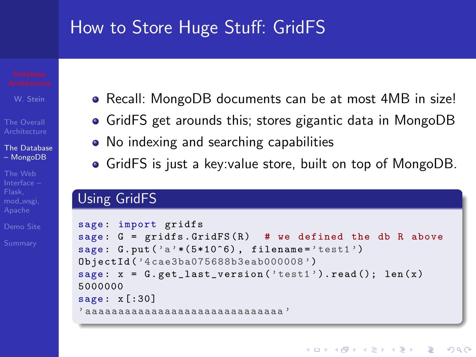## How to Store Huge Stuff: GridFS

[The Database](#page-7-0) – MongoDB

The Web mod wsgi,

- Recall: MongoDB documents can be at most 4MB in size!
- GridFS get arounds this; stores gigantic data in MongoDB
- No indexing and searching capabilities
- GridFS is just a key:value store, built on top of MongoDB.

### Using GridFS

```
sage: import gridfs
sage: G = gridfs.GridFS(R) # we defined the db R above
sage: G. put('a' * (5 * 10^6), file name='test1')ObjectId ('4 cae3ba075688b3eab000008 ')
sage: x = G.get_last_version('test1').read(); len(x)5000000
sage: x[:30]' aaaaaaaaaaaaaaaaaaaaaaaaaaaaaa '
```
**KOD KARD KED KED E YORA**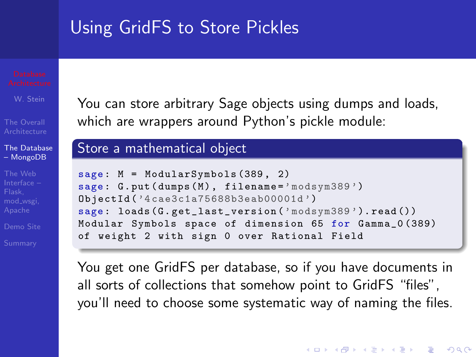## Using GridFS to Store Pickles

W. Stein

[The Database](#page-7-0) – MongoDB

The Web mod wsgi,

You can store arbitrary Sage objects using dumps and loads, which are wrappers around Python's pickle module:

### Store a mathematical object

```
sage: M = ModularSymbols (389, 2)sage: G.put (dumps (M), filename='modsym389')
ObjectId ('4 cae3c1a75688b3eab00001d ')
sage : loads (G. get_last_version ('modsym389 '). read ())
Modular Symbols space of dimension 65 for Gamma_0 (389)
of weight 2 with sign 0 over Rational Field
```
You get one GridFS per database, so if you have documents in all sorts of collections that somehow point to GridFS "files", you'll need to choose some systematic way of naming the files.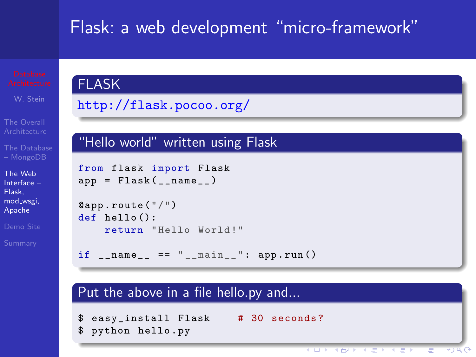## Flask: a web development "micro-framework"

The Web [Interface –](#page-18-0) Flask, mod wsgi, Apache

### FLASK

<http://flask.pocoo.org/>

### "Hello world" written using Flask

```
from flask import Flask
app = Flask(__name__)
```

```
@app . route ("/")
def hello():
    return " Hello World !"
```
 $if$  \_\_name\_\_ == "\_\_main\_\_": app.run()

#### Put the above in a file hello.py and...

<span id="page-18-0"></span>easy\_install Flask # 30 seconds? \$ python hello . py

> **CORPORATION** Ξ  $\ast$  )  $\cup$   $\cap$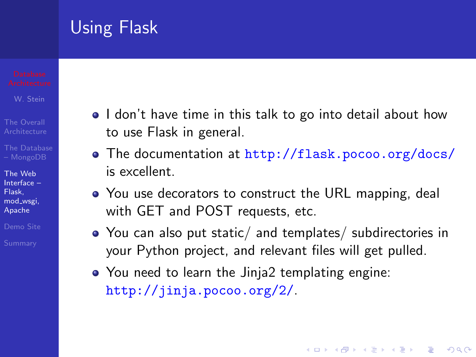## Using Flask

W. Stein

- 
- 

The Web [Interface –](#page-18-0) Flask, mod wsgi, Apache

- I don't have time in this talk to go into detail about how to use Flask in general.
- The documentation at <http://flask.pocoo.org/docs/> is excellent.
- You use decorators to construct the URL mapping, deal with GET and POST requests, etc.
- You can also put static/ and templates/ subdirectories in your Python project, and relevant files will get pulled.

**KORK ERKER ADE YOUR** 

You need to learn the Jinja2 templating engine: <http://jinja.pocoo.org/2/>.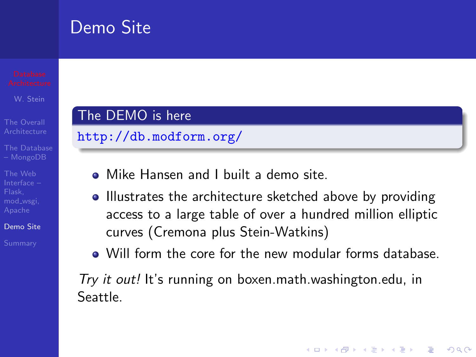## Demo Site

The Web mod wsgi,

[Demo Site](#page-20-0)

<span id="page-20-0"></span>

## The DEMO is here

<http://db.modform.org/>

- Mike Hansen and I built a demo site.
- Illustrates the architecture sketched above by providing access to a large table of over a hundred million elliptic curves (Cremona plus Stein-Watkins)
- Will form the core for the new modular forms database.

**KORK ERKER ADE YOUR** 

Try it out! It's running on boxen.math.washington.edu, in Seattle.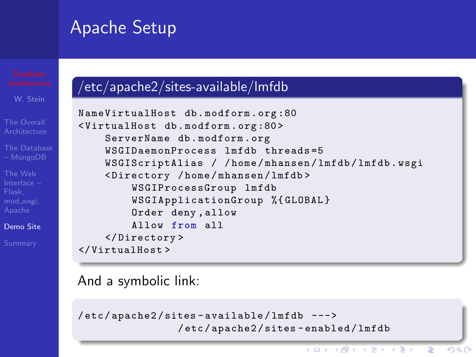## Apache Setup

The Web mod\_wsgi,

[Demo Site](#page-20-0)

## /etc/apache2/sites-available/lmfdb

```
NameVirtualHost db . modform . org :80
< VirtualHost db . modform . org :80 >
    ServerName db . modform . org
    WSGIDaemonProcess lmfdb threads =5
    WSGIScriptAlias / / home / mhansen / lmfdb / lmfdb . wsgi
    < Directory / home / mhansen / lmfdb >
         WSGIProcessGroup lmfdb
         WSGIApplicationGroup %{ GLOBAL }
         Order deny , allow
         Allow from all
    </ Directory >
</ VirtualHost >
```
And a symbolic link:

```
/ etc / apache2 / sites - available / lmfdb --->
                  / etc / apache2 / sites - enabled / lmfdb
```
 $(1 - 4)$   $(1 - 4)$   $(1 - 4)$   $(1 - 4)$   $(1 - 4)$   $(1 - 4)$   $(1 - 4)$   $(1 - 4)$   $(1 - 4)$   $(1 - 4)$   $(1 - 4)$   $(1 - 4)$   $(1 - 4)$   $(1 - 4)$   $(1 - 4)$   $(1 - 4)$   $(1 - 4)$   $(1 - 4)$   $(1 - 4)$   $(1 - 4)$   $(1 - 4)$   $(1 - 4)$   $(1 - 4)$   $(1 - 4)$   $(1 -$ 

G

 $QQ$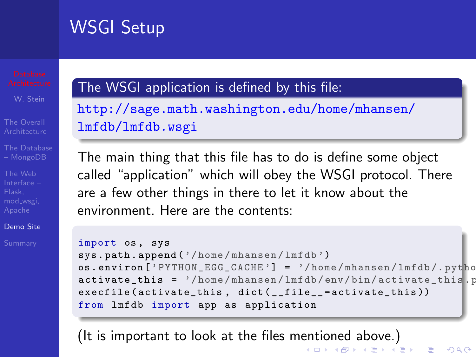## WSGI Setup

The Web mod wsgi,

[Demo Site](#page-20-0)

## The WSGI application is defined by this file:

[http://sage.math.washington.edu/home/mhansen/](http://sage.math.washington.edu/home/mhansen/lmfdb/lmfdb.wsgi) [lmfdb/lmfdb.wsgi](http://sage.math.washington.edu/home/mhansen/lmfdb/lmfdb.wsgi)

The main thing that this file has to do is define some object called "application" which will obey the WSGI protocol. There are a few other things in there to let it know about the environment. Here are the contents:

```
import os, sys
sys . path . append ('/ home / mhansen / lmfdb ')
os.environ ['PYTHON_EGG_CACHE'] = '/home/mhansen/lmfdb/.pytho
\texttt{active\_this} = '/home/mhansen/lmfdb/env/bin/activate_this.p
execfile (activate_this, dict (__file__=activate_this))
from lmfdb import app as application
```
(It is important to look at the files mentioned above.)<br>Since the second the second terms of the second second terms of the second second second second second second second second second second second second second second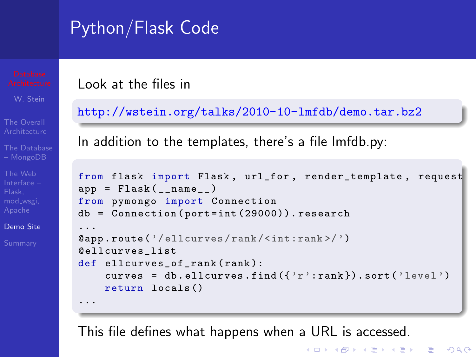# Python/Flask Code

The Web mod wsgi,

[Demo Site](#page-20-0)

Look at the files in

<http://wstein.org/talks/2010-10-lmfdb/demo.tar.bz2>

In addition to the templates, there's a file lmfdb.py:

```
from flask import Flask , url_for , render_template , request
app = Flask(__name__)
from pymongo import Connection
db = Connection ( port = int (29000)). research
...
@app . route ('/ ellcurves / rank /< int :rank >/ ')
@ellcurves_list
def ellcurves of rank (rank):
    curves = db.ellcurves.find({'r'}:rank}).sort('level')return locals ()
...
```
**KOD KARD KED KED E YORA** 

This file defines what happens when a URL is accessed.